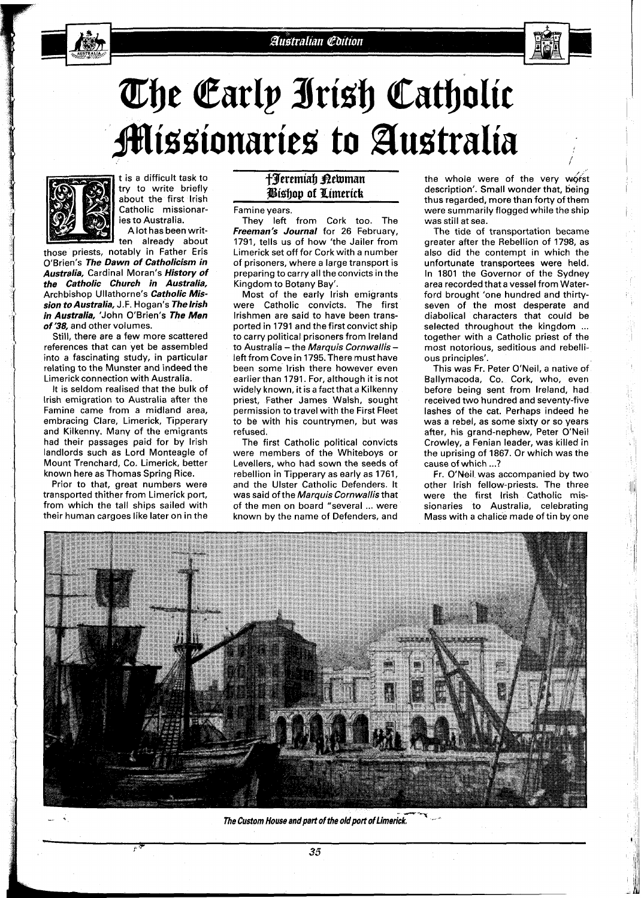# The Early Irish Catholic **Missionaries to Australia**



t is a difficult task to try to write briefly about the first lrish Catholic missionaries to Australia.

A lot has been written already about

those priests, notably in Father Eris O'Brien's **The Dawn of Catholicism in Australia,** Cardinal Moran's **History of the Catholic Church in Australia,**  Archbishop Ullathorne's **Catholic Mission to Australia,** J.F. Hogan's **Thelrish in Australia,** 'John O'Brien's **The Men of '38,** and other volumes.

Still, there are a few more scattered references that can yet be assembled into a fascinating study, in particular relating to the Munster and indeed the Limerick connection with Australia.

It is seldom realised that the bulk of lrish emigration to Australia after the Famine came from a midland area, embracing Clare, Limerick, Tipperary and Kilkenny. Many of the emigrants had their passages paid for by lrish landlords such as Lord Monteagle of Mount Trenchard, Co. Limerick, better known here as Thomas Spring Rice.

Prior to that, great numbers were transported thither from Limerick port, from which the tall ships sailed with their human cargoes like later on in the

## *f3erernialj Bekurnan si~ljog of Pimerick*

Famine years.

They left from Cork too. The **Freeman's Journal** for **26** February, **1791,** tells us of how 'the Jailer from Limerick set off for Cork with a number of prisoners, where a large transport is preparing to carry all the convicts in the Kingdom to Botany Bay'.

Most of the early lrish emigrants were Catholic convicts. The first Irishmen are said to have been transported in **1791** and the first convict ship to carry political prisoners from Ireland to Australia - the *Marquis Cornwallis* -<br>left from Cove in 1795. There must have been some lrish there however even earlier than **1791.** For, although it is not widely known, it is a fact that a Kilkenny priest, Father James Walsh, sought permission to travel with the First Fleet to be with his countrymen, but was refused.

The first Catholic political convicts were members of the Whiteboys or Levellers, who had sown the seeds of rebellion in Tipperary as early as **1761,**  and the Ulster Catholic Defenders. It was said of the Marquis Cornwallis that of the men on board "several ... were known by the name of Defenders, and

the whole were of the very worst description'. Small wonder that, being thus regarded, more than forty of them were summarily flogged while the ship was still at sea.

The tide of transportation became greater after the Rebellion of **1798,** as also did the contempt in which the unfortunate transportees were held. In **1801** the Governor of the Sydney area recorded that a vessel from Waterford brought 'one hundred and thirtyseven of the most desperate and diabolical characters that could be selected throughout the kingdom ... together with a Catholic priest of the most notorious, seditious and rebellious principles'.

This was Fr. Peter O'Neil, a native of Ballymacoda, Co. Cork, who, even before being sent from Ireland, had received two hundred and seventy-five lashes of the cat. Perhaps indeed he was a rebel, as some sixty or so years after, his grand-nephew, Peter O'Neil Crowley, a Fenian leader, was killed in the uprising of **1867.** Or which was the cause of which ...?

Fr. O'Neil was accompanied by two other lrish fellow-priests. The three were the first lrish Catholic missionaries to Australia, celebrating Mass with a chalice made of tin by one



The Custom House and part of the old port of Limerick.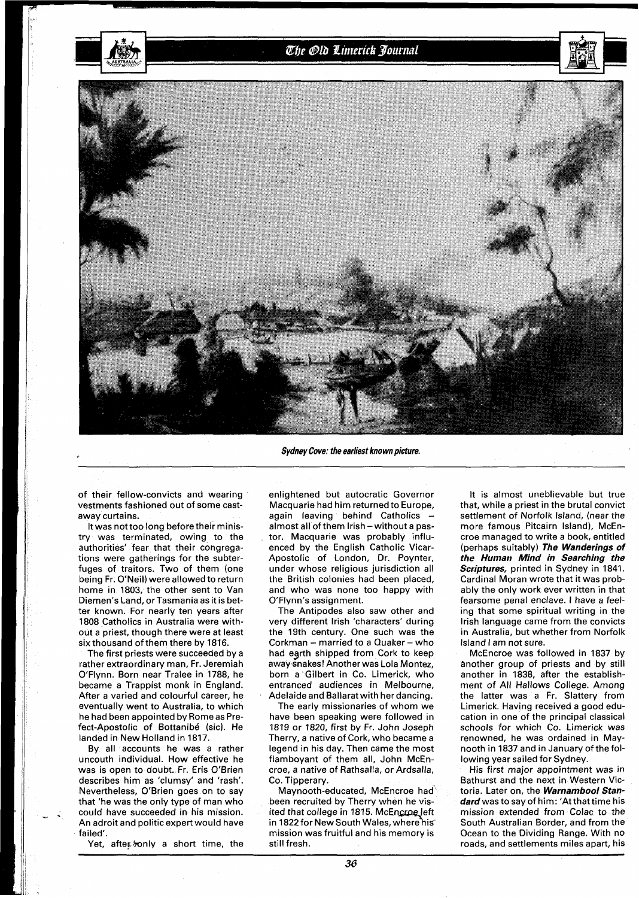

### Sydney Cove: the earliest known picture.

of their fellow-convicts and wearing vestments fashioned out of some castaway curtains.

It was not too long before their ministry was terminated, owing to the authorities' fear that their congregations were gatherings for the subterfuges of traitors. Two of them (one being Fr. O'Neil) were allowed to return home in 1803, the other sent to Van Diemen's Land, or Tasmania as it is better known. For nearly ten years after 1808 Catholics in Australia were without a priest, though there were at least six thousand of them there by 1816.

The first priests were succeeded by a rather extraordinary man, Fr. Jeremiah O'Flynn. Born near Tralee in 1788, he became a Trappist monk in England. After a varied and colourful career, he eventually went to Australia, to which he had been appointed by Rome as Prefect-Apostolic of Bottanibé (sic). He landed in New Holland in 1817.

By all accounts he was a rather uncouth individual. How effective he was is open to doubt. Fr. Eris O'Brien describes him as 'clumsy' and 'rash'. Nevertheless, O'Brien goes on to say that 'he was the only type of man who could have succeeded in his mission. An adroit and politic expert would have failed'.

Yet, after, ronly a short time, the

enlightened but autocratic Governor Macquarie had him returned to Europe, again leaving behind Catholics -<br>almost all of them lrish - without a pastor. Macquarie was probably influenced by the English Catholic Vicar-Apostolic of London, Dr. Poynter, under whose religious jurisdiction all the British colonies had been placed, and who was none too happy with O'Flynn's assignment.

The Antipodes also saw other and very different lrish 'characters' during the 19th century. One such was the Corkman - married to a Quaker - who had earth shipped from Cork to keep away-snakes! Another was Lola Montez, born a Gilbert in Co. Limerick, who entranced audiences in Melbourne, Adelaide and Ballarat with her dancing.

The early missionaries of whom we have been speaking were followed in 1819 or 1820, first by Fr. John Joseph Therry, a native of Cork, who became a legend in his day. Then came the most flamboyant of them all, John McEncroe, a native of Rathsalla, or Ardsalla, Co. Tipperary.

Maynooth-educated, McEncroe had been recruited by Therry when he visited that college in 1815. McEncroe left in 1822 for New South Wales, where his mission was fruitful and his memory is still fresh.

It is almost uneblievable but true that, while a priest in the brutal convict settlement of Norfolk Island, (near the more famous Pitcairn Island), McEncroe managed to write a book, entitled (perhaps suitably) **The Wanderings of the Human Mind in Searching the Scriptures,** printed in Sydney in 1841. Cardinal Moran wrote that it was probably the only work ever written in that fearsome penal enclave. I have a feeling that some spiritual writing in the lrish language came from the convicts in Australia, but whether from Norfolk Island I am not sure.

McEncroe was followed in 1837 by another group of priests and by still another in 1838, after the establishment of All Hallows College. Among the latter was a Fr. Slattery from Limerick. Having received a good education in one of the principal classical schools for which Co. Limerick was renowned, he was ordained in Maynooth in 1837 and in January of the following year sailed for Sydney.

His first major appointment was in Bathurst and the next in Western Victoria. Later on, the **Warnambool Stan**dard was to say of him: 'At that time his mission extended from Colac to the South Australian Border, and from the Ocean to the Dividing Range. With no roads, and settlements miles apart, his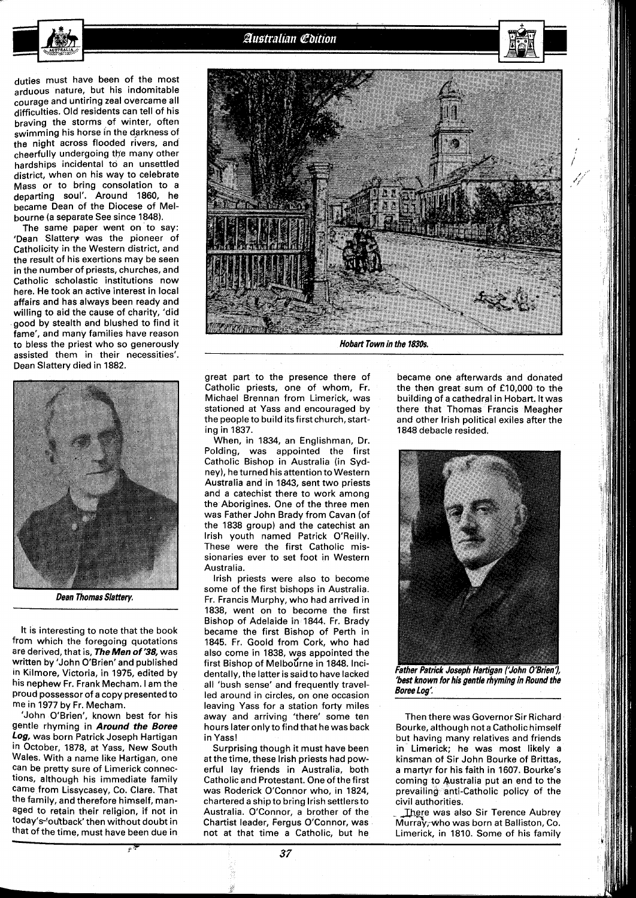duties must have been of the most arduous nature, but his indomitable courage and untiring zeal overcame all difficulties. Old residents can tell of his braving the storms of winter, often swimming his horse in the darkness of the night across flooded rivers, and cheerfully undergoing the many other hardships incidental to an unsettled district, when oh his way to celebrate Mass or to bring consolation to a departing soul'. Around 1860, he became Dean of the Diocese of Melbourne (a separate See since 1848).

The same paper went on to say: 'Dean Slattery was the pioneer of Catholicity in the Western district, and the result of his exertions may be seen in the number of priests, churches, and Catholic scholastic institutions now here. He took an active interest in local affairs and has always been ready and willing to aid the cause of charity, 'did good by stealth and blushed to find it fame', and many families have reason to bless the priest who so generously assisted them in their necessities'. Dean Slattery died in 1882.



**Dean Thomas Slattery.** 

It is interesting to note that the book from which the foregoing quotations are derived, that is, **TheMen** of '38, was written by 'John O'Brien'and published in Kilmore, Victoria, in 1975, edited by his nephew Fr. Frank Mecham. I am the Proud possessor of a copy presented to me in 1977 by Fr. Mecham.

'John O'Brien', known best for his gentle rhyming in **Around the Boree Log,** was born Patrick Joseph Hartigan in October, 1878, at Yass, New South Wales. With a name like Hartigan, one can be pretty sure of Limerick connections, although his immediate family came from Lissycasey, Co. Clare. That the family, and therefore himself, managed to retain their religion, if not in today's'ou'tback' then without doubt in that of the time, must have been due in



**Hobart Town in the 1830s.** 

great part to the presence there of Catholic priests, one of whom, Fr. Michael Brennan from Limerick, was stationed at Yass and encouraged by the people to build its first church, starting in 1837.

When, in 1834, an Englishman, Dr. Polding, was appointed the first Catholic Bishop in Australia (in Sydney), he turned his attention to Western Australia and in 1843, sent two priests and a catechist there to work among the Aborigines. One of the three men was Father John Brady from Cavan (of the 1838 group) and the catechist an lrish youth named Patrick O'Reilly. These were the first Catholic missionaries ever to set foot in Western Australia.

lrish priests were also to become some of the first bishops in Australia. Fr. Francis Murphy, who had arrived in 1838, went on to become the first Bishop of Adelaide in 1844. Fr. Brady became the first Bishop of Perth in 1845. Fr. Goold from Cork, who had also come in 1838, was appointed the first Bishop of Melbourne in 1848. Incidentally, the latter is said to have lacked all 'bush sense' and frequently travelled around in circles, on one occasion leaving Yass for a station forty miles away and arriving 'there' some ten hours later only to find that he was back in Yass!

Surprising though it must have been at the time, these lrish priests had powerful lay friends in Australia, both Catholic and Protestant. One of the first was Roderick O'Connor who, in 1824, chartered a ship to bring lrish settlersto Australia. O'Connor, a brother of the Chartist leader, Fergus O'Connor, was not at that time a Catholic, but he

became one afterwards and donated the then great sum of £10,000 to the building of a cathedral in Hobart. Itwas there that Thomas Francis Meagher and other lrish political exiles after the 1848 debacle resided.



**'best known for his gentle rhyming in Round the Boree Loa:** 

Then there was Governor Sir Richard Bourke, although not a Catholic himself but having many relatives and friends in Limerick; he was most likely a kinsman of Sir John Bourke of Brittas, a martyr for his faith in 1607. Bourke's coming to Australia put an end to the prevailing anti-Catholic policy of the civil authorities.

There was also Sir Terence Aubrey Murray;who was born at Balliston, Co. Limerick, in 1810. Some of his family